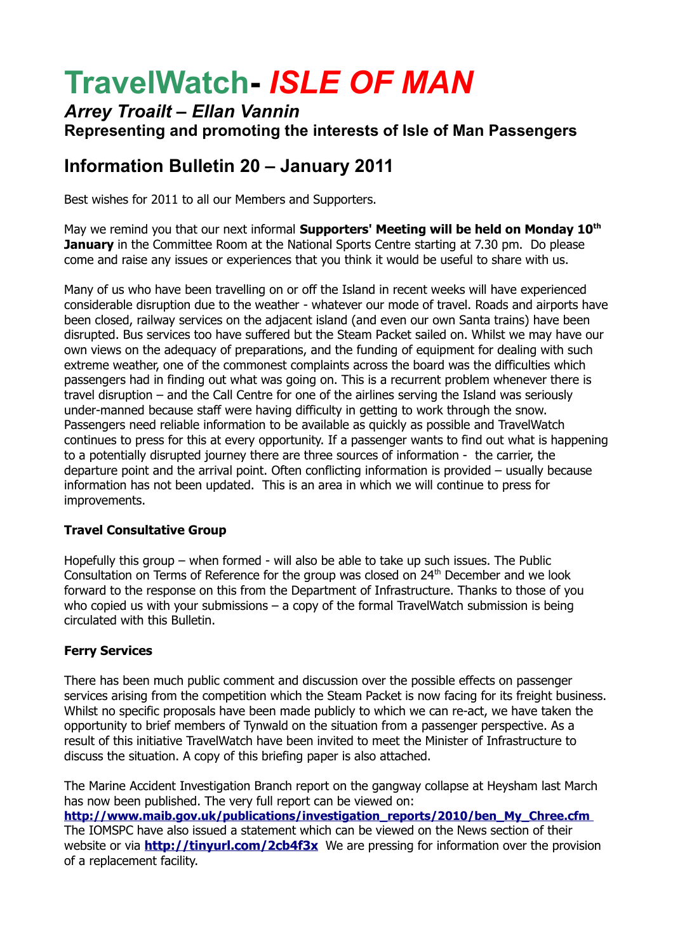# **TravelWatch-** *ISLE OF MAN*

### *Arrey Troailt – Ellan Vannin* **Representing and promoting the interests of Isle of Man Passengers**

## **Information Bulletin 20 – January 2011**

Best wishes for 2011 to all our Members and Supporters.

May we remind you that our next informal **Supporters' Meeting will be held on Monday 10th January** in the Committee Room at the National Sports Centre starting at 7.30 pm. Do please come and raise any issues or experiences that you think it would be useful to share with us.

Many of us who have been travelling on or off the Island in recent weeks will have experienced considerable disruption due to the weather - whatever our mode of travel. Roads and airports have been closed, railway services on the adjacent island (and even our own Santa trains) have been disrupted. Bus services too have suffered but the Steam Packet sailed on. Whilst we may have our own views on the adequacy of preparations, and the funding of equipment for dealing with such extreme weather, one of the commonest complaints across the board was the difficulties which passengers had in finding out what was going on. This is a recurrent problem whenever there is travel disruption – and the Call Centre for one of the airlines serving the Island was seriously under-manned because staff were having difficulty in getting to work through the snow. Passengers need reliable information to be available as quickly as possible and TravelWatch continues to press for this at every opportunity. If a passenger wants to find out what is happening to a potentially disrupted journey there are three sources of information - the carrier, the departure point and the arrival point. Often conflicting information is provided – usually because information has not been updated. This is an area in which we will continue to press for improvements.

#### **Travel Consultative Group**

Hopefully this group – when formed - will also be able to take up such issues. The Public Consultation on Terms of Reference for the group was closed on 24<sup>th</sup> December and we look forward to the response on this from the Department of Infrastructure. Thanks to those of you who copied us with your submissions  $-$  a copy of the formal TravelWatch submission is being circulated with this Bulletin.

#### **Ferry Services**

There has been much public comment and discussion over the possible effects on passenger services arising from the competition which the Steam Packet is now facing for its freight business. Whilst no specific proposals have been made publicly to which we can re-act, we have taken the opportunity to brief members of Tynwald on the situation from a passenger perspective. As a result of this initiative TravelWatch have been invited to meet the Minister of Infrastructure to discuss the situation. A copy of this briefing paper is also attached.

The Marine Accident Investigation Branch report on the gangway collapse at Heysham last March has now been published. The very full report can be viewed on: **[http://www.maib.gov.uk/publications/investigation\\_reports/2010/ben\\_My\\_Chree.cfm](http://www.maib.gov.uk/publications/investigation_reports/2010/ben_My_Chree.cfm)** The IOMSPC have also issued a statement which can be viewed on the News section of their website or via **http://tinyurl.com/2cb4f3x** We are pressing for information over the provision of a replacement facility.